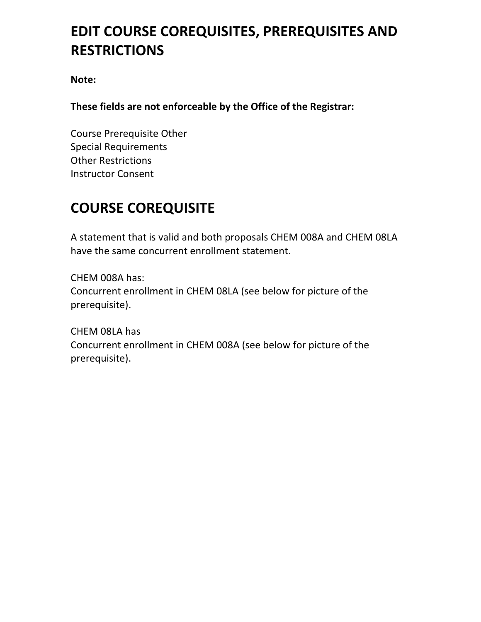# **EDIT COURSE COREQUISITES, PREREQUISITES AND RESTRICTIONS**

**Note:** 

These fields are not enforceable by the Office of the Registrar:

Course Prerequisite Other Special Requirements **Other Restrictions** Instructor Consent 

# **COURSE COREQUISITE**

A statement that is valid and both proposals CHEM 008A and CHEM 08LA have the same concurrent enrollment statement.

CHEM 008A has: Concurrent enrollment in CHEM 08LA (see below for picture of the prerequisite).

CHEM 08LA has Concurrent enrollment in CHEM 008A (see below for picture of the prerequisite).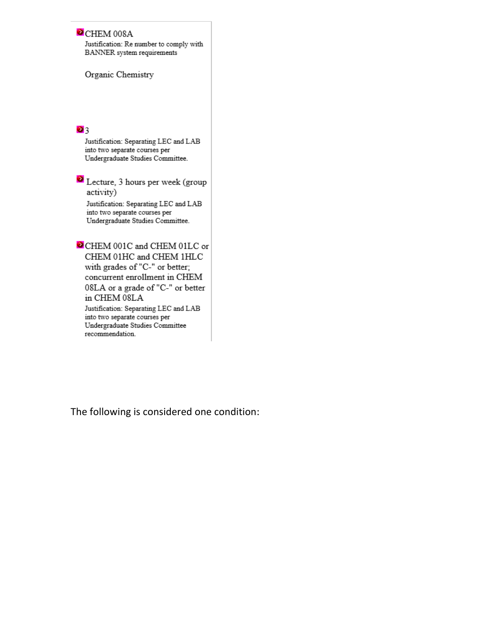#### CHEM 008A

Justification: Re number to comply with BANNER system requirements

Organic Chemistry

#### 23

Justification: Separating LEC and LAB into two separate courses per Undergraduate Studies Committee.

 $\Omega$  Lecture, 3 hours per week (group activity)

Justification: Separating LEC and LAB into two separate courses per Undergraduate Studies Committee.

CHEM 001C and CHEM 01LC or CHEM 01HC and CHEM 1HLC with grades of "C-" or better; concurrent enrollment in CHEM 08LA or a grade of "C-" or better in CHEM 08LA Justification: Separating LEC and LAB into two separate courses per Undergraduate Studies Committee

recommendation.

The following is considered one condition: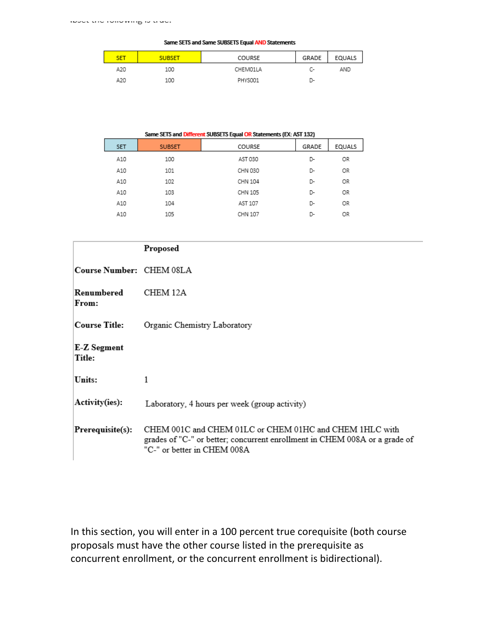#### Same SETS and Same SUBSETS Equal AND Statements

| <b>SET</b> | <b>SUBSET</b> | COURSE   | GRADE | EQUALS |
|------------|---------------|----------|-------|--------|
| A20        | 100           | CHEM01LA | c-    | AND    |
| A20        | 100           | PHYS001  | D-    |        |

| Same SETS and Different SUBSETS Equal OR Statements (EX: AST 132) |               |         |       |        |
|-------------------------------------------------------------------|---------------|---------|-------|--------|
| <b>SET</b>                                                        | <b>SUBSET</b> | COURSE  | GRADE | EQUALS |
| A10                                                               | 100           | AST 030 | D-    | OR     |
| A10                                                               | 101           | CHN 030 | D-    | OR     |
| A10                                                               | 102           | CHN 104 | D-    | OR     |
| A10                                                               | 103           | CHN 105 | D-    | OR     |
| A10                                                               | 104           | AST 107 | D-    | OR     |
| A10                                                               | 105           | CHN 107 | ת-    | OR     |

|                          | Proposed                                                                                                                                                             |
|--------------------------|----------------------------------------------------------------------------------------------------------------------------------------------------------------------|
| Course Number: CHEM 08LA |                                                                                                                                                                      |
| Renumbered<br>From:      | CHEM 12A                                                                                                                                                             |
| Course Title:            | Organic Chemistry Laboratory                                                                                                                                         |
| E-Z Segment<br>Title:    |                                                                                                                                                                      |
| Units:                   | 1                                                                                                                                                                    |
| Activity(ies):           | Laboratory, 4 hours per week (group activity)                                                                                                                        |
| Prerequisite(s):         | CHEM 001C and CHEM 01LC or CHEM 01HC and CHEM 1HLC with<br>grades of "C-" or better; concurrent enrollment in CHEM 008A or a grade of<br>"C-" or better in CHEM 008A |

In this section, you will enter in a 100 percent true corequisite (both course proposals must have the other course listed in the prerequisite as concurrent enrollment, or the concurrent enrollment is bidirectional).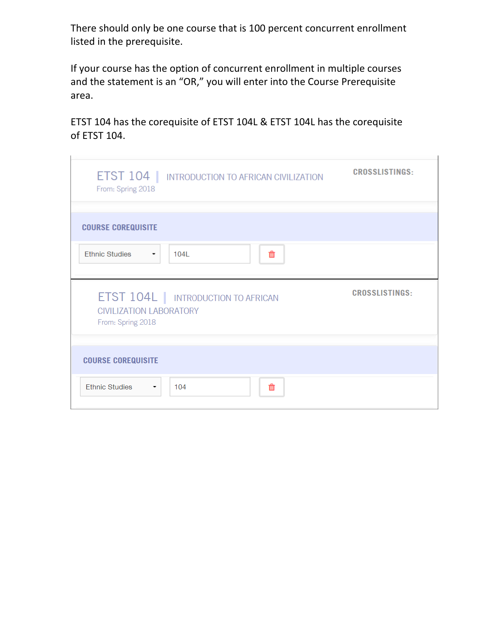There should only be one course that is 100 percent concurrent enrollment listed in the prerequisite.

If your course has the option of concurrent enrollment in multiple courses and the statement is an "OR," you will enter into the Course Prerequisite area.

ETST 104 has the corequisite of ETST 104L & ETST 104L has the corequisite of ETST 104.

| <b>ETST 104   INTRODUCTION TO AFRICAN CIVILIZATION</b><br>From: Spring 2018                       | <b>CROSSLISTINGS:</b> |
|---------------------------------------------------------------------------------------------------|-----------------------|
| <b>COURSE COREQUISITE</b>                                                                         |                       |
| <b>Ethnic Studies</b><br>$104L$<br>血<br>$\blacksquare$                                            |                       |
|                                                                                                   |                       |
| <b>ETST 104L   INTRODUCTION TO AFRICAN</b><br><b>CIVILIZATION LABORATORY</b><br>From: Spring 2018 | <b>CROSSLISTINGS:</b> |
| <b>COURSE COREQUISITE</b>                                                                         |                       |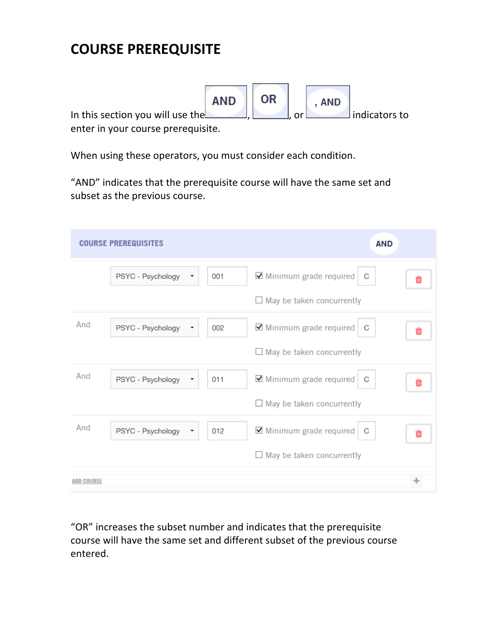# **COURSE PREREQUISITE**



When using these operators, you must consider each condition.

"AND" indicates that the prerequisite course will have the same set and subset as the previous course.

|            | <b>COURSE PREREQUISITES</b> |     | <b>AND</b>                                          |  |
|------------|-----------------------------|-----|-----------------------------------------------------|--|
|            | PSYC - Psychology           | 001 | $\blacktriangleright$ Minimum grade required<br>- C |  |
|            |                             |     | $\Box$ May be taken concurrently                    |  |
| And        | PSYC - Psychology<br>▼      | 002 | ■ Minimum grade required<br>C                       |  |
|            |                             |     | $\Box$ May be taken concurrently                    |  |
| And        | PSYC - Psychology<br>۰      | 011 | ■ Minimum grade required<br>C                       |  |
|            |                             |     | $\Box$ May be taken concurrently                    |  |
| And        | PSYC - Psychology           | 012 | ■ Minimum grade required<br>- C                     |  |
|            |                             |     | $\Box$ May be taken concurrently                    |  |
| ADD COURSE |                             |     |                                                     |  |

"OR" increases the subset number and indicates that the prerequisite course will have the same set and different subset of the previous course entered.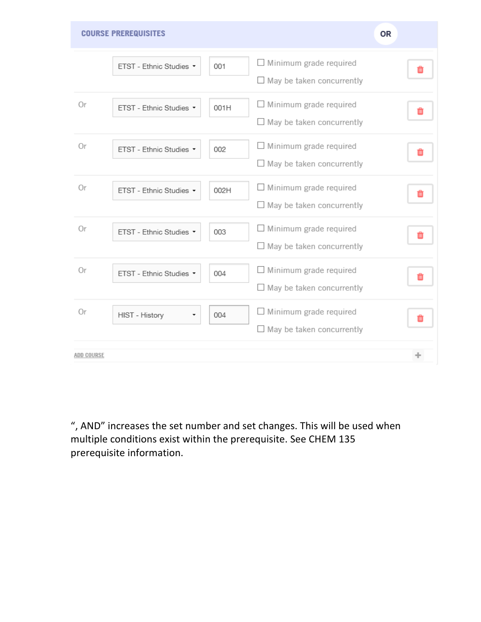

", AND" increases the set number and set changes. This will be used when multiple conditions exist within the prerequisite. See CHEM 135 prerequisite information.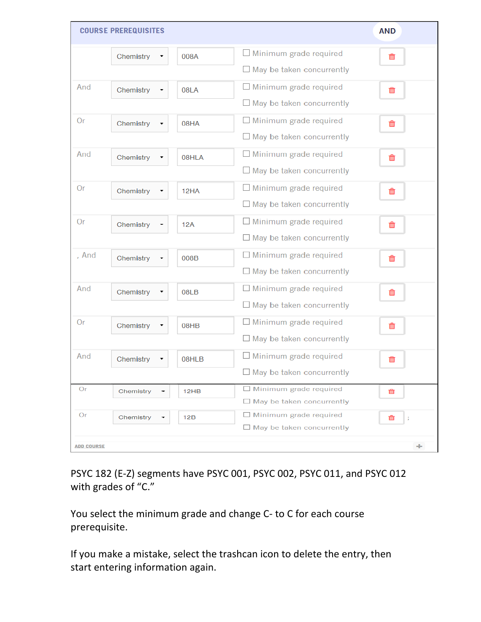| $\Box$ Minimum grade required<br>Chemistry<br>008A<br>勔<br>$\Box$ May be taken concurrently<br>$\Box$ Minimum grade required<br>And<br>Chemistry<br>08LA<br>而<br>$\Box$ May be taken concurrently<br>$\Box$ Minimum grade required<br><b>Or</b><br>Chemistry<br>08HA<br>勔<br>$\Box$ May be taken concurrently<br>$\Box$ Minimum grade required<br>And<br>Chemistry<br>08HLA<br>勔<br>$\Box$ May be taken concurrently |   |
|----------------------------------------------------------------------------------------------------------------------------------------------------------------------------------------------------------------------------------------------------------------------------------------------------------------------------------------------------------------------------------------------------------------------|---|
|                                                                                                                                                                                                                                                                                                                                                                                                                      |   |
|                                                                                                                                                                                                                                                                                                                                                                                                                      |   |
|                                                                                                                                                                                                                                                                                                                                                                                                                      |   |
|                                                                                                                                                                                                                                                                                                                                                                                                                      |   |
| $\Box$ Minimum grade required<br><b>Or</b><br>Chemistry<br>12HA<br>勔<br>$\Box$ May be taken concurrently                                                                                                                                                                                                                                                                                                             |   |
| $\Box$ Minimum grade required<br><b>Or</b><br>Chemistry<br>12A<br>勔<br>$\Box$ May be taken concurrently                                                                                                                                                                                                                                                                                                              |   |
| $\Box$ Minimum grade required<br>, And<br>Chemistry<br>008B<br>寙<br>$\Box$ May be taken concurrently                                                                                                                                                                                                                                                                                                                 |   |
| $\Box$ Minimum grade required<br>And<br>Chemistry<br>08LB<br>勔<br>$\Box$ May be taken concurrently                                                                                                                                                                                                                                                                                                                   |   |
| $\Box$ Minimum grade required<br>Or<br>Chemistry<br>08HB<br>而<br>$\Box$ May be taken concurrently                                                                                                                                                                                                                                                                                                                    |   |
| And<br>$\Box$ Minimum grade required<br>Chemistry<br>08HLB<br>血<br>$\Box$ May be taken concurrently                                                                                                                                                                                                                                                                                                                  |   |
| $\Box$ Minimum grade required<br>Or<br>Chemistry<br>12HB<br>Ŵ<br>$\Box$ May be taken concurrently                                                                                                                                                                                                                                                                                                                    |   |
| $\Box$ Minimum grade required<br>Or<br>Chemistry<br>12B<br>面<br>$\Box$ May be taken concurrently<br><b>ADD COURSE</b>                                                                                                                                                                                                                                                                                                | ÷ |

PSYC 182 (E-Z) segments have PSYC 001, PSYC 002, PSYC 011, and PSYC 012 with grades of "C."

You select the minimum grade and change C- to C for each course prerequisite.

If you make a mistake, select the trashcan icon to delete the entry, then start entering information again.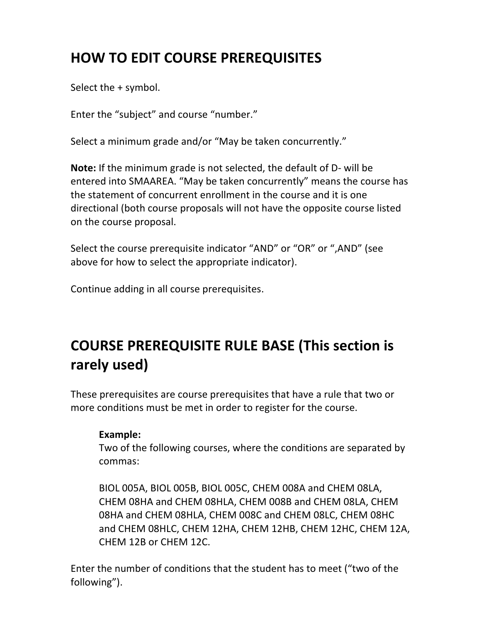# **HOW TO EDIT COURSE PREREQUISITES**

Select the  $+$  symbol.

Enter the "subject" and course "number."

Select a minimum grade and/or "May be taken concurrently."

**Note:** If the minimum grade is not selected, the default of D- will be entered into SMAAREA. "May be taken concurrently" means the course has the statement of concurrent enrollment in the course and it is one directional (both course proposals will not have the opposite course listed on the course proposal.

Select the course prerequisite indicator "AND" or "OR" or ",AND" (see above for how to select the appropriate indicator).

Continue adding in all course prerequisites.

# **COURSE PREREQUISITE RULE BASE (This section is rarely used)**

These prerequisites are course prerequisites that have a rule that two or more conditions must be met in order to register for the course.

#### **Example:**

Two of the following courses, where the conditions are separated by commas:

BIOL 005A, BIOL 005B, BIOL 005C, CHEM 008A and CHEM 08LA, CHEM 08HA and CHEM 08HLA, CHEM 008B and CHEM 08LA, CHEM 08HA and CHEM 08HLA, CHEM 008C and CHEM 08LC, CHEM 08HC and CHEM 08HLC, CHEM 12HA, CHEM 12HB, CHEM 12HC, CHEM 12A, CHEM 12B or CHEM 12C.

Enter the number of conditions that the student has to meet ("two of the following").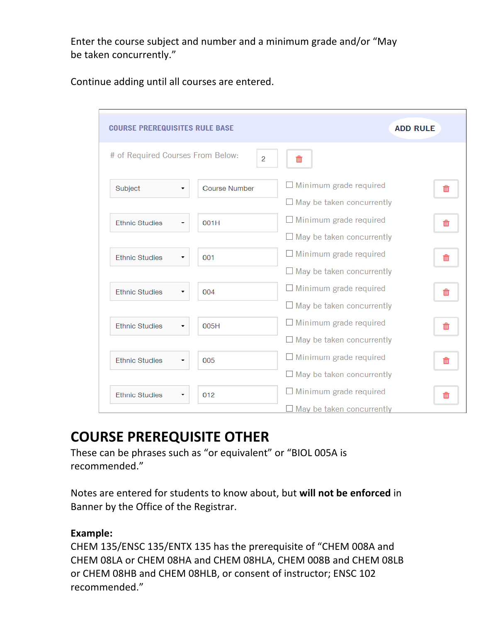Enter the course subject and number and a minimum grade and/or "May be taken concurrently."

Continue adding until all courses are entered.

| <b>COURSE PREREQUISITES RULE BASE</b> |                      | <b>ADD RULE</b>                  |    |
|---------------------------------------|----------------------|----------------------------------|----|
| # of Required Courses From Below:     | $\overline{2}$       | 面                                |    |
| Subject                               | <b>Course Number</b> | $\Box$ Minimum grade required    | 而  |
|                                       |                      | $\Box$ May be taken concurrently |    |
| <b>Ethnic Studies</b>                 | 001H                 | $\Box$ Minimum grade required    | 而  |
|                                       |                      | $\Box$ May be taken concurrently |    |
| <b>Ethnic Studies</b>                 | 001                  | $\Box$ Minimum grade required    | 勔  |
|                                       |                      | $\Box$ May be taken concurrently |    |
| <b>Ethnic Studies</b>                 | 004                  | $\Box$ Minimum grade required    | 而  |
|                                       |                      | $\Box$ May be taken concurrently |    |
| <b>Ethnic Studies</b>                 | 005H                 | $\Box$ Minimum grade required    | Ш  |
|                                       |                      | $\Box$ May be taken concurrently |    |
| <b>Ethnic Studies</b>                 | 005                  | $\Box$ Minimum grade required    | 而  |
|                                       |                      | $\Box$ May be taken concurrently |    |
| <b>Ethnic Studies</b>                 | 012                  | $\Box$ Minimum grade required    | πī |
|                                       |                      | $\Box$ May be taken concurrently |    |

# **COURSE PREREQUISITE OTHER**

These can be phrases such as "or equivalent" or "BIOL 005A is recommended."

Notes are entered for students to know about, but will not be enforced in Banner by the Office of the Registrar.

#### **Example:**

CHEM 135/ENSC 135/ENTX 135 has the prerequisite of "CHEM 008A and CHEM 08LA or CHEM 08HA and CHEM 08HLA, CHEM 008B and CHEM 08LB or CHEM 08HB and CHEM 08HLB, or consent of instructor; ENSC 102 recommended."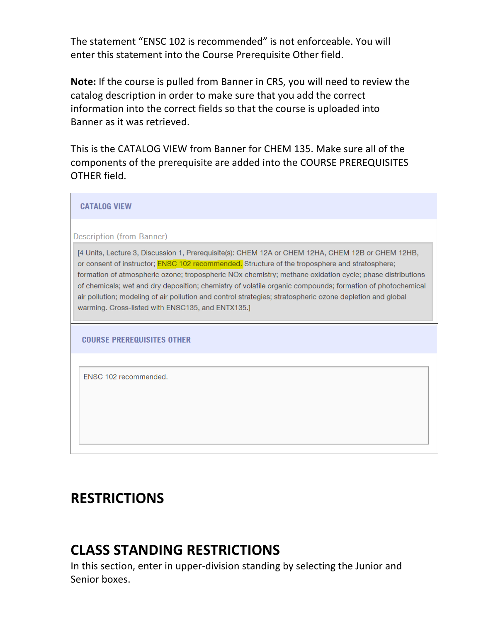The statement "ENSC 102 is recommended" is not enforceable. You will enter this statement into the Course Prerequisite Other field.

**Note:** If the course is pulled from Banner in CRS, you will need to review the catalog description in order to make sure that you add the correct information into the correct fields so that the course is uploaded into Banner as it was retrieved.

This is the CATALOG VIEW from Banner for CHEM 135. Make sure all of the components of the prerequisite are added into the COURSE PREREQUISITES OTHER field.

| <b>CATALOG VIEW</b>                                                                                                                                                                                                                                                                                                                                                                                                                                                                                                                                                                                  |
|------------------------------------------------------------------------------------------------------------------------------------------------------------------------------------------------------------------------------------------------------------------------------------------------------------------------------------------------------------------------------------------------------------------------------------------------------------------------------------------------------------------------------------------------------------------------------------------------------|
| Description (from Banner)                                                                                                                                                                                                                                                                                                                                                                                                                                                                                                                                                                            |
| [4 Units, Lecture 3, Discussion 1, Prerequisite(s): CHEM 12A or CHEM 12HA, CHEM 12B or CHEM 12HB,<br>or consent of instructor; <b>ENSC 102 recommended.</b> Structure of the troposphere and stratosphere;<br>formation of atmospheric ozone; tropospheric NOx chemistry; methane oxidation cycle; phase distributions<br>of chemicals; wet and dry deposition; chemistry of volatile organic compounds; formation of photochemical<br>air pollution; modeling of air pollution and control strategies; stratospheric ozone depletion and global<br>warming. Cross-listed with ENSC135, and ENTX135. |
| <b>COURSE PREREQUISITES OTHER</b>                                                                                                                                                                                                                                                                                                                                                                                                                                                                                                                                                                    |
| FNSC 102 recommended.                                                                                                                                                                                                                                                                                                                                                                                                                                                                                                                                                                                |

### **RESTRICTIONS**

 $\blacksquare$ 

## **CLASS STANDING RESTRICTIONS**

In this section, enter in upper-division standing by selecting the Junior and Senior boxes.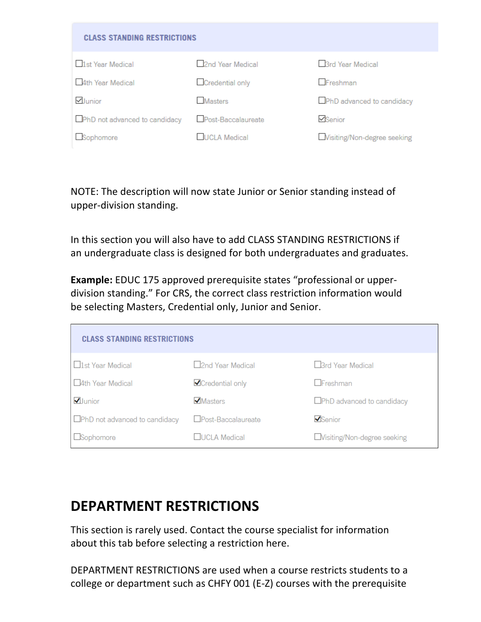| <b>CLASS STANDING RESTRICTIONS</b> |                    |                                   |
|------------------------------------|--------------------|-----------------------------------|
| □1st Year Medical                  | 2nd Year Medical   | <b>Brd Year Medical</b>           |
| 4th Year Medical                   | Credential only    | $\Box$ Freshman                   |
| Vunior                             | <b>Masters</b>     | <b>OPhD</b> advanced to candidacy |
| PhD not advanced to candidacy      | Post-Baccalaureate | <b>⊡</b> Senior                   |
| Sophomore                          | UCLA Medical       | Wisiting/Non-degree seeking       |

NOTE: The description will now state Junior or Senior standing instead of upper-division standing.

In this section you will also have to add CLASS STANDING RESTRICTIONS if an undergraduate class is designed for both undergraduates and graduates.

**Example:** EDUC 175 approved prerequisite states "professional or upperdivision standing." For CRS, the correct class restriction information would be selecting Masters, Credential only, Junior and Senior.

| <b>CLASS STANDING RESTRICTIONS</b>   |                          |                                    |  |  |
|--------------------------------------|--------------------------|------------------------------------|--|--|
| $\Box$ 1st Year Medical              | □2nd Year Medical        | $\Box$ 3rd Year Medical            |  |  |
| 4th Year Medical                     | <b>√</b> Credential only | $\Box$ Freshman                    |  |  |
| $\bigtriangledown$ Junior            | ✔ Masters                | $\Box$ PhD advanced to candidacy   |  |  |
| $\Box$ PhD not advanced to candidacy | □Post-Baccalaureate      | $\blacktriangledown$ Senior        |  |  |
| $\Box$ Sophomore                     | □UCI A Medical           | $\Box$ Visiting/Non-degree seeking |  |  |

## **DEPARTMENT RESTRICTIONS**

This section is rarely used. Contact the course specialist for information about this tab before selecting a restriction here.

DEPARTMENT RESTRICTIONS are used when a course restricts students to a college or department such as CHFY 001 (E-Z) courses with the prerequisite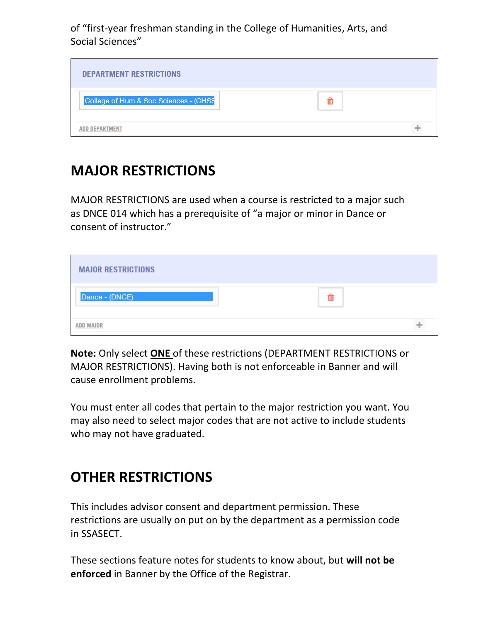of "first-year freshman standing in the College of Humanities, Arts, and Social Sciences"

| <b>DEPARTMENT RESTRICTIONS</b>        |  |
|---------------------------------------|--|
| College of Hum & Soc Sciences - (CHSS |  |
| <b>ADD DEPARTMENT</b>                 |  |

## **MAJOR RESTRICTIONS**

MAJOR RESTRICTIONS are used when a course is restricted to a major such as DNCE 014 which has a prerequisite of "a major or minor in Dance or consent of instructor."

| <b>MAJOR RESTRICTIONS</b> |   |  |
|---------------------------|---|--|
| Dance - (DNCE)            | Ш |  |
| <b>ADD MAJOR</b>          |   |  |

**Note:** Only select ONE of these restrictions (DEPARTMENT RESTRICTIONS or MAJOR RESTRICTIONS). Having both is not enforceable in Banner and will cause enrollment problems.

You must enter all codes that pertain to the major restriction you want. You may also need to select major codes that are not active to include students who may not have graduated.

## **OTHER RESTRICTIONS**

This includes advisor consent and department permission. These restrictions are usually on put on by the department as a permission code in SSASECT.

These sections feature notes for students to know about, but will not be **enforced** in Banner by the Office of the Registrar.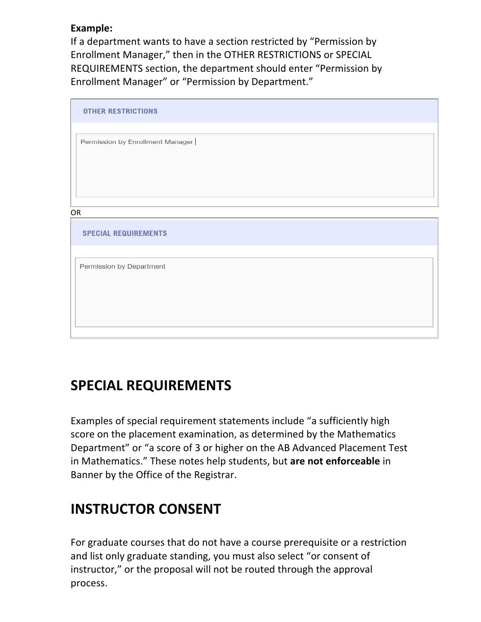#### **Example:**

If a department wants to have a section restricted by "Permission by Enrollment Manager," then in the OTHER RESTRICTIONS or SPECIAL REQUIREMENTS section, the department should enter "Permission by Enrollment Manager" or "Permission by Department."

| <b>OTHER RESTRICTIONS</b>        |  |
|----------------------------------|--|
| Permission by Enrollment Manager |  |
|                                  |  |
|                                  |  |
| OR                               |  |
|                                  |  |
| <b>SPECIAL REQUIREMENTS</b>      |  |
|                                  |  |
| Permission by Department         |  |
|                                  |  |
|                                  |  |
|                                  |  |

## **SPECIAL REQUIREMENTS**

Examples of special requirement statements include "a sufficiently high score on the placement examination, as determined by the Mathematics Department" or "a score of 3 or higher on the AB Advanced Placement Test in Mathematics." These notes help students, but are not enforceable in Banner by the Office of the Registrar.

# **INSTRUCTOR CONSENT**

For graduate courses that do not have a course prerequisite or a restriction and list only graduate standing, you must also select "or consent of instructor," or the proposal will not be routed through the approval process.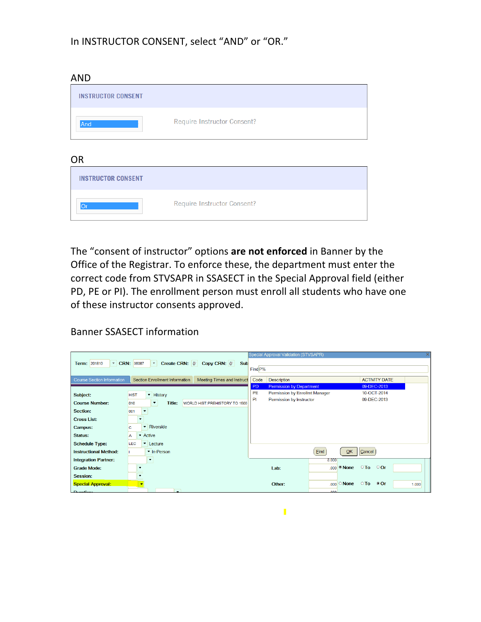#### In INSTRUCTOR CONSENT, select "AND" or "OR."

AND

| .                         |                             |  |
|---------------------------|-----------------------------|--|
| <b>INSTRUCTOR CONSENT</b> |                             |  |
| And                       | Require Instructor Consent? |  |
|                           |                             |  |

OR

| ◡                         |                             |  |
|---------------------------|-----------------------------|--|
| <b>INSTRUCTOR CONSENT</b> |                             |  |
|                           | Require Instructor Consent? |  |

The "consent of instructor" options are not enforced in Banner by the Office of the Registrar. To enforce these, the department must enter the correct code from STVSAPR in SSASECT in the Special Approval field (either PD, PE or PI). The enrollment person must enroll all students who have one of these instructor consents approved.

Banner SSASECT information

|                                   |                                                                                     | <b>Special Approval Validation (STVSAPR)</b> |                                                                              |  |
|-----------------------------------|-------------------------------------------------------------------------------------|----------------------------------------------|------------------------------------------------------------------------------|--|
| Term: 201810                      | Create CRN:<br>Copy CRN:   @<br><b>v</b> CRN: 36087<br><b>Sub</b><br>$\mathbf{w}$ . |                                              |                                                                              |  |
|                                   |                                                                                     | Find <sub>P%</sub>                           |                                                                              |  |
| <b>Course Section Information</b> | <b>Section Enrollment Information</b><br><b>Meeting Times and Instruct</b>          | Code                                         | <b>ACTIVITY DATE</b><br><b>Description</b>                                   |  |
|                                   |                                                                                     | PD                                           | <b>Permission by Department</b><br>09-DEC-2013                               |  |
| Subject:                          | ▼ History<br><b>HIST</b>                                                            | <b>PE</b>                                    | Permission by Enrollmt Manager<br>10-OCT-2014                                |  |
| <b>Course Number:</b>             | Title:<br>010<br>WORLD HIST:PREHISTORY TO 1500<br>۰                                 | P1                                           | 09-DEC-2013<br>Permission by Instructor                                      |  |
| <b>Section:</b>                   | 001                                                                                 |                                              |                                                                              |  |
| <b>Cross List:</b>                | ۰.                                                                                  |                                              |                                                                              |  |
| <b>Campus:</b>                    | • Riverside<br>lc.                                                                  |                                              |                                                                              |  |
| <b>Status:</b>                    | Active<br>A                                                                         |                                              |                                                                              |  |
| <b>Schedule Type:</b>             | LEC<br>Lecture<br>▼                                                                 |                                              |                                                                              |  |
| <b>Instructional Method:</b>      | • In-Person                                                                         |                                              | Eind<br><b>OK</b><br>Cancel                                                  |  |
| <b>Integration Partner:</b>       | $\blacktriangledown$                                                                |                                              | 3.000                                                                        |  |
| <b>Grade Mode:</b>                |                                                                                     |                                              | $\circ$ To<br>$\circ$ Or<br>.000 Mone<br>Lab:                                |  |
| <b>Session:</b>                   | ۰                                                                                   |                                              |                                                                              |  |
| <b>Special Approval:</b>          | $\blacktriangledown$                                                                |                                              | $.000$ $\circ$ None<br>$\circ$ To $\circ$<br>$\bullet$ Or<br>Other:<br>1.000 |  |
| Duration:                         |                                                                                     |                                              | 000                                                                          |  |

 $\blacksquare$